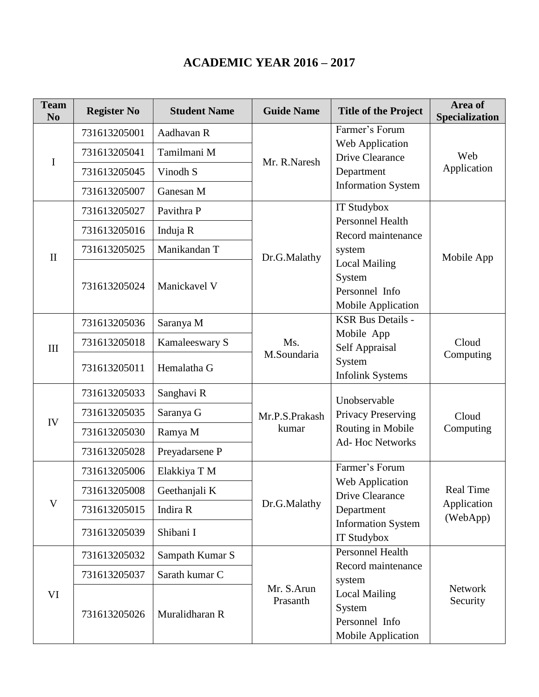## **ACADEMIC YEAR 2016 – 2017**

| <b>Team</b><br>N <sub>0</sub> | <b>Register No</b> | <b>Student Name</b> | <b>Guide Name</b>       | <b>Title of the Project</b>                                              | Area of<br>Specialization                   |
|-------------------------------|--------------------|---------------------|-------------------------|--------------------------------------------------------------------------|---------------------------------------------|
| I                             | 731613205001       | Aadhavan R          | Mr. R.Naresh            | Farmer's Forum                                                           | Web<br>Application                          |
|                               | 731613205041       | Tamilmani M         |                         | Web Application<br><b>Drive Clearance</b>                                |                                             |
|                               | 731613205045       | Vinodh S            |                         | Department                                                               |                                             |
|                               | 731613205007       | Ganesan M           |                         | <b>Information System</b>                                                |                                             |
| $\mathbf{I}$                  | 731613205027       | Pavithra P          |                         | IT Studybox                                                              | Mobile App                                  |
|                               | 731613205016       | Induja R            |                         | <b>Personnel Health</b><br>Record maintenance                            |                                             |
|                               | 731613205025       | Manikandan T        |                         | system                                                                   |                                             |
|                               |                    |                     | Dr.G.Malathy            | <b>Local Mailing</b>                                                     |                                             |
|                               | 731613205024       | Manickavel V        |                         | System<br>Personnel Info                                                 |                                             |
|                               |                    |                     |                         | Mobile Application<br><b>KSR Bus Details -</b>                           |                                             |
| III                           | 731613205036       | Saranya M           | Ms.<br>M.Soundaria      | Mobile App                                                               | Cloud<br>Computing                          |
|                               | 731613205018       | Kamaleeswary S      |                         | Self Appraisal                                                           |                                             |
|                               | 731613205011       | Hemalatha G         |                         | System<br><b>Infolink Systems</b>                                        |                                             |
| IV                            | 731613205033       | Sanghavi R          | Mr.P.S.Prakash<br>kumar | Unobservable                                                             | Cloud<br>Computing                          |
|                               | 731613205035       | Saranya G           |                         | <b>Privacy Preserving</b><br>Routing in Mobile<br><b>Ad-Hoc Networks</b> |                                             |
|                               | 731613205030       | Ramya M             |                         |                                                                          |                                             |
|                               | 731613205028       | Preyadarsene P      |                         |                                                                          |                                             |
| V                             | 731613205006       | Elakkiya T M        | Dr.G.Malathy            | Farmer's Forum                                                           |                                             |
|                               | 731613205008       | Geethanjali K       |                         | Web Application<br><b>Drive Clearance</b>                                | <b>Real Time</b><br>Application<br>(WebApp) |
|                               | 731613205015       | Indira R            |                         | Department                                                               |                                             |
|                               | 731613205039       | Shibani I           |                         | <b>Information System</b><br>IT Studybox                                 |                                             |
| VI                            | 731613205032       | Sampath Kumar S     | Mr. S.Arun<br>Prasanth  | <b>Personnel Health</b>                                                  | <b>Network</b><br>Security                  |
|                               | 731613205037       | Sarath kumar C      |                         | Record maintenance<br>system                                             |                                             |
|                               | 731613205026       | Muralidharan R      |                         | <b>Local Mailing</b><br>System<br>Personnel Info<br>Mobile Application   |                                             |